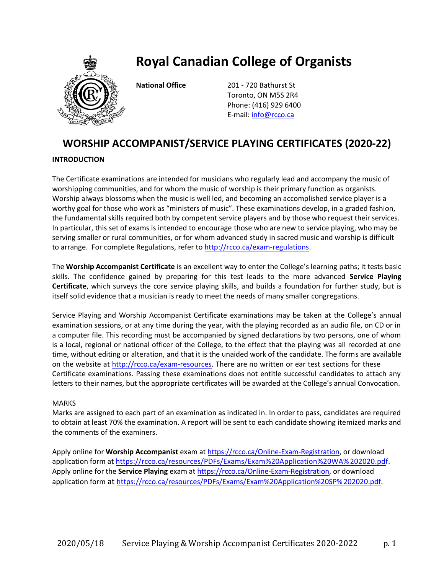

# **Royal Canadian College of Organists**

**National Office** 201 - 720 Bathurst St Toronto, ON M5S 2R4 Phone: (416) 929 6400 E-mail: [info@rcco.ca](file:///C:/Users/Lorne/Downloads/RCCO/Website/2017-2019%20exams/info@rcco.ca)

## **WORSHIP ACCOMPANIST/SERVICE PLAYING CERTIFICATES (2020-22)**

#### **INTRODUCTION**

The Certificate examinations are intended for musicians who regularly lead and accompany the music of worshipping communities, and for whom the music of worship is their primary function as organists. Worship always blossoms when the music is well led, and becoming an accomplished service player is a worthy goal for those who work as "ministers of music". These examinations develop, in a graded fashion, the fundamental skills required both by competent service players and by those who request their services. In particular, this set of exams is intended to encourage those who are new to service playing, who may be serving smaller or rural communities, or for whom advanced study in sacred music and worship is difficult to arrange. For complete Regulations, refer to [http://rcco.ca/exam-regulations.](http://rcco.ca/exam-regulations)

The **Worship Accompanist Certificate** is an excellent way to enter the College's learning paths; it tests basic skills. The confidence gained by preparing for this test leads to the more advanced **Service Playing Certificate**, which surveys the core service playing skills, and builds a foundation for further study, but is itself solid evidence that a musician is ready to meet the needs of many smaller congregations.

Service Playing and Worship Accompanist Certificate examinations may be taken at the College's annual examination sessions, or at any time during the year, with the playing recorded as an audio file, on CD or in a computer file. This recording must be accompanied by signed declarations by two persons, one of whom is a local, regional or national officer of the College, to the effect that the playing was all recorded at one time, without editing or alteration, and that it is the unaided work of the candidate. The forms are available on the website at [http://rcco.ca/exam-resources](http://rcco.ca/exam-resources/). There are no written or ear test sections for these Certificate examinations. Passing these examinations does not entitle successful candidates to attach any letters to their names, but the appropriate certificates will be awarded at the College's annual Convocation.

#### MARKS

Marks are assigned to each part of an examination as indicated in. In order to pass, candidates are required to obtain at least 70% the examination. A report will be sent to each candidate showing itemized marks and the comments of the examiners.

Apply online for **Worship Accompanist** exam at <https://rcco.ca/Online-Exam-Registration>, or download application form at [https://rcco.ca/resources/PDFs/Exams/Exam%20Application%20WA%202020.pdf](http://rcco.ca/resources/PDFs/Exams/Exam%20Application%20WA%202020.pdf). Apply online for the **Service Playing** exam at <https://rcco.ca/Online-Exam-Registration>, or download application form at <https://rcco.ca/resources/PDFs/Exams/Exam%20Application%20SP%202020.pdf>.